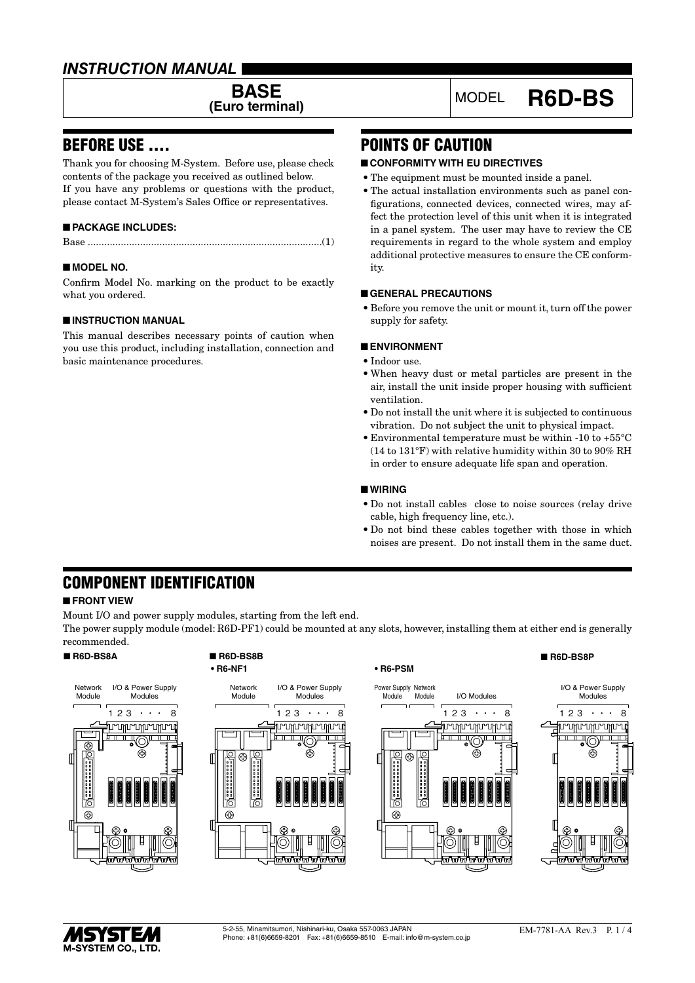## *INSTRUCTION MANUAL*

**BASE**<br>**(Euro terminal)** 

### BEFORE USE ....

Thank you for choosing M-System. Before use, please check contents of the package you received as outlined below. If you have any problems or questions with the product, please contact M-System's Sales Office or representatives.

#### ■ **PACKAGE INCLUDES:**

Base .....................................................................................(1)

#### ■ **MODEL NO.**

Confirm Model No. marking on the product to be exactly what you ordered.

#### ■ **INSTRUCTION MANUAL**

This manual describes necessary points of caution when you use this product, including installation, connection and basic maintenance procedures.

# **(Euro terminal)** MODEL **R6D-BS**

# POINTS OF CAUTION

#### ■ **CONFORMITY WITH EU DIRECTIVES**

- The equipment must be mounted inside a panel.
- The actual installation environments such as panel configurations, connected devices, connected wires, may affect the protection level of this unit when it is integrated in a panel system. The user may have to review the CE requirements in regard to the whole system and employ additional protective measures to ensure the CE conformity.

#### ■ **GENERAL PRECAUTIONS**

• Before you remove the unit or mount it, turn off the power supply for safety.

#### ■ **ENVIRONMENT**

- • Indoor use.
- When heavy dust or metal particles are present in the air, install the unit inside proper housing with sufficient ventilation.
- • Do not install the unit where it is subjected to continuous vibration. Do not subject the unit to physical impact.
- $\bullet$  Environmental temperature must be within -10 to +55 $\rm ^{\circ}C$ (14 to 131°F) with relative humidity within 30 to 90% RH in order to ensure adequate life span and operation.

#### ■ **WIRING**

- • Do not install cables close to noise sources (relay drive cable, high frequency line, etc.).
- • Do not bind these cables together with those in which noises are present. Do not install them in the same duct.

# COMPONENT IDENTIFICATION

#### ■ **FRONT VIEW**

Mount I/O and power supply modules, starting from the left end.

The power supply module (model: R6D-PF1) could be mounted at any slots, however, installing them at either end is generally recommended.



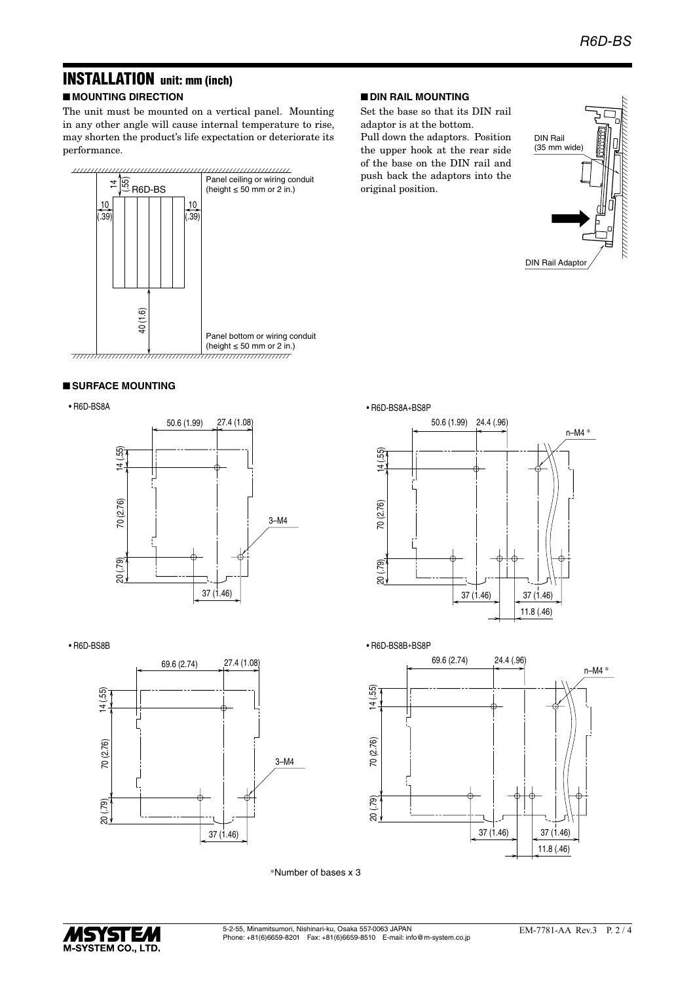# INSTALLATION unit: mm (inch)

■ **MOUNTING DIRECTION**

The unit must be mounted on a vertical panel. Mounting in any other angle will cause internal temperature to rise, may shorten the product's life expectation or deteriorate its performance.



#### ■ **SURFACE MOUNTING**

• R6D-BS8A







#### ■ **DIN RAIL MOUNTING**

Set the base so that its DIN rail adaptor is at the bottom.

Pull down the adaptors. Position the upper hook at the rear side of the base on the DIN rail and push back the adaptors into the original position.









\*Number of bases x 3

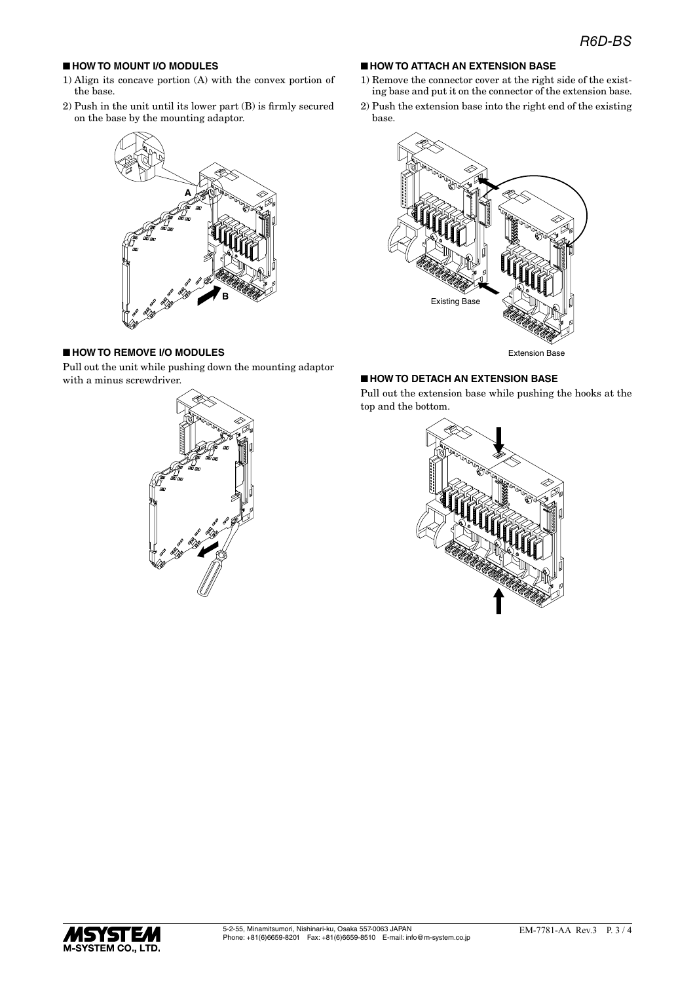#### ■ **HOW TO MOUNT I/O MODULES**

- 1) Align its concave portion (A) with the convex portion of the base.
- 2) Push in the unit until its lower part (B) is firmly secured on the base by the mounting adaptor.



### ■ **HOW TO REMOVE I/O MODULES**

Pull out the unit while pushing down the mounting adaptor with a minus screwdriver.



#### ■ **HOW TO ATTACH AN EXTENSION BASE**

- 1) Remove the connector cover at the right side of the existing base and put it on the connector of the extension base.
- 2) Push the extension base into the right end of the existing base.



Extension Base

#### ■ **HOW TO DETACH AN EXTENSION BASE**

Pull out the extension base while pushing the hooks at the top and the bottom.